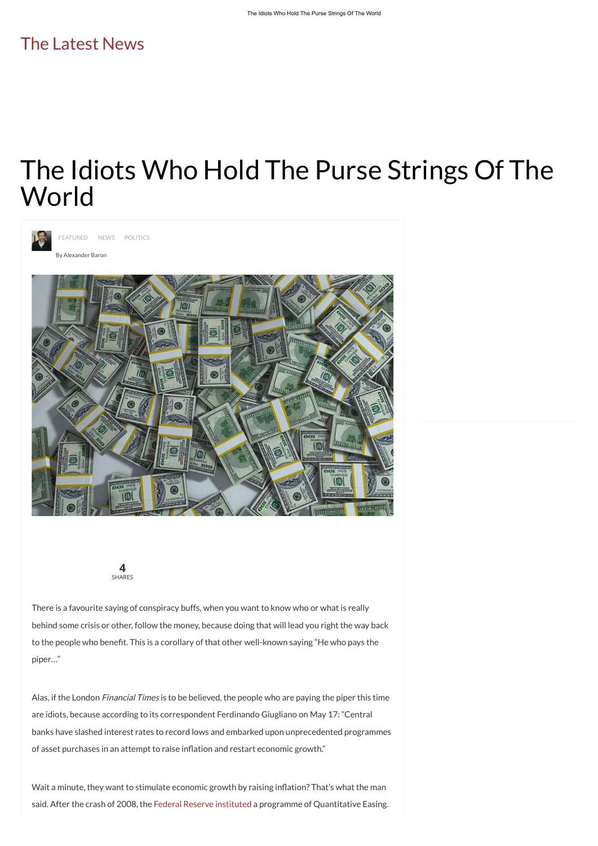There is a favourite saying of conspiracy buffs, when you want to know who or what is really behind some crisis or other, follow the money, because doing that will lead you right the way back to the people who benefit. This is a corollary of that other well-known saying "He who pays the

[FEATURED](http://www.thelatestnews.com/category/featured/) [NEWS](http://www.thelatestnews.com/category/news/) [POLITICS](http://www.thelatestnews.com/category/politics/)

By [Alexander](http://www.thelatestnews.com/author/alexander/) Baron



piper…"

Alas, if the London Financial Times is to be believed, the people who are paying the piper this time

are idiots, because according to its correspondent Ferdinando Giugliano on May 17: "Central

banks have slashed interest rates to record lows and embarked upon unprecedented programmes

of asset purchases in an attempt to raise inflation and restart economic growth."

Wait a minute, they want to stimulate economic growth by raising inflation? That's what the man

said. After the crash of 2008, the Federal Reserve [instituted](https://web.archive.org/web/20170725231925/https://www.opendemocracy.net/openeconomy/ross-heard/qe-timeline-of-quatitative-easing-in-us) a programme of Quantitative Easing.

## The Idiots Who Hold The Purse Strings Of The World





## The [Latest](http://www.thelatestnews.com/) News